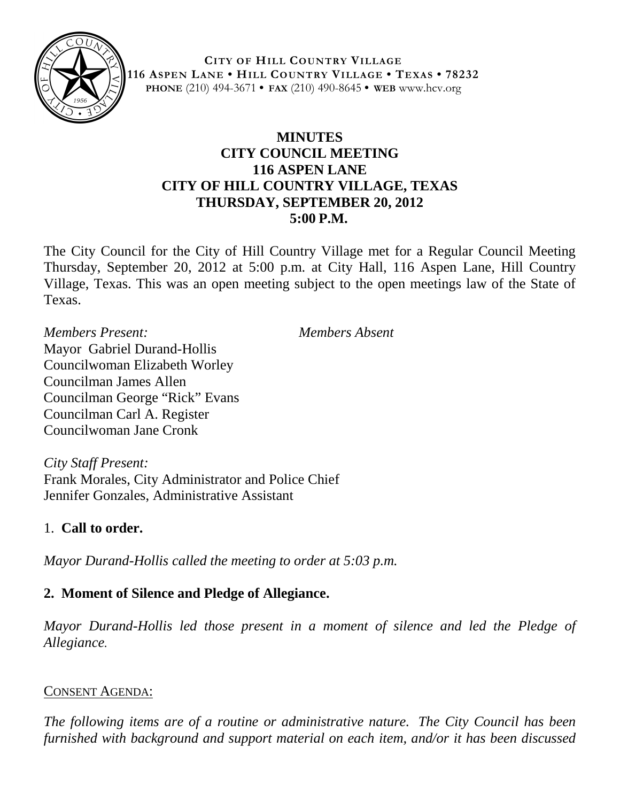

**CITY OF HILL COUNTRY VILLAGE 116 ASPEN LANE • HILL COUNTRY VILLAGE • TEXAS • 78232 PHONE** (210) 494-3671 **• FAX** (210) 490-8645 **• WEB** www.hcv.org

# **MINUTES CITY COUNCIL MEETING 116 ASPEN LANE CITY OF HILL COUNTRY VILLAGE, TEXAS THURSDAY, SEPTEMBER 20, 2012 5:00 P.M.**

The City Council for the City of Hill Country Village met for a Regular Council Meeting Thursday, September 20, 2012 at 5:00 p.m. at City Hall, 116 Aspen Lane, Hill Country Village, Texas. This was an open meeting subject to the open meetings law of the State of Texas.

*Members Present: Members Absent* Mayor Gabriel Durand-Hollis Councilwoman Elizabeth Worley Councilman James Allen Councilman George "Rick" Evans Councilman Carl A. Register Councilwoman Jane Cronk

*City Staff Present:* Frank Morales, City Administrator and Police Chief Jennifer Gonzales, Administrative Assistant

# 1. **Call to order.**

*Mayor Durand-Hollis called the meeting to order at 5:03 p.m.*

# **2. Moment of Silence and Pledge of Allegiance.**

*Mayor Durand-Hollis led those present in a moment of silence and led the Pledge of Allegiance.*

#### CONSENT AGENDA:

*The following items are of a routine or administrative nature. The City Council has been furnished with background and support material on each item, and/or it has been discussed*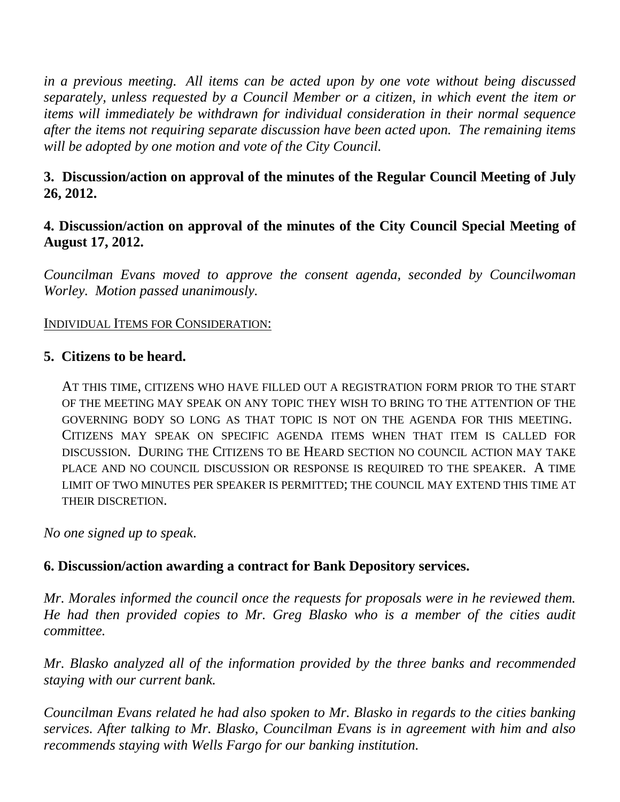*in a previous meeting. All items can be acted upon by one vote without being discussed separately, unless requested by a Council Member or a citizen, in which event the item or items will immediately be withdrawn for individual consideration in their normal sequence after the items not requiring separate discussion have been acted upon. The remaining items will be adopted by one motion and vote of the City Council.*

# **3. Discussion/action on approval of the minutes of the Regular Council Meeting of July 26, 2012.**

## **4. Discussion/action on approval of the minutes of the City Council Special Meeting of August 17, 2012.**

*Councilman Evans moved to approve the consent agenda, seconded by Councilwoman Worley. Motion passed unanimously.*

#### INDIVIDUAL ITEMS FOR CONSIDERATION:

#### **5. Citizens to be heard.**

AT THIS TIME, CITIZENS WHO HAVE FILLED OUT A REGISTRATION FORM PRIOR TO THE START OF THE MEETING MAY SPEAK ON ANY TOPIC THEY WISH TO BRING TO THE ATTENTION OF THE GOVERNING BODY SO LONG AS THAT TOPIC IS NOT ON THE AGENDA FOR THIS MEETING. CITIZENS MAY SPEAK ON SPECIFIC AGENDA ITEMS WHEN THAT ITEM IS CALLED FOR DISCUSSION. DURING THE CITIZENS TO BE HEARD SECTION NO COUNCIL ACTION MAY TAKE PLACE AND NO COUNCIL DISCUSSION OR RESPONSE IS REQUIRED TO THE SPEAKER. A TIME LIMIT OF TWO MINUTES PER SPEAKER IS PERMITTED; THE COUNCIL MAY EXTEND THIS TIME AT THEIR DISCRETION.

*No one signed up to speak*.

### **6. Discussion/action awarding a contract for Bank Depository services.**

*Mr. Morales informed the council once the requests for proposals were in he reviewed them. He had then provided copies to Mr. Greg Blasko who is a member of the cities audit committee.*

*Mr. Blasko analyzed all of the information provided by the three banks and recommended staying with our current bank.*

*Councilman Evans related he had also spoken to Mr. Blasko in regards to the cities banking services. After talking to Mr. Blasko, Councilman Evans is in agreement with him and also recommends staying with Wells Fargo for our banking institution.*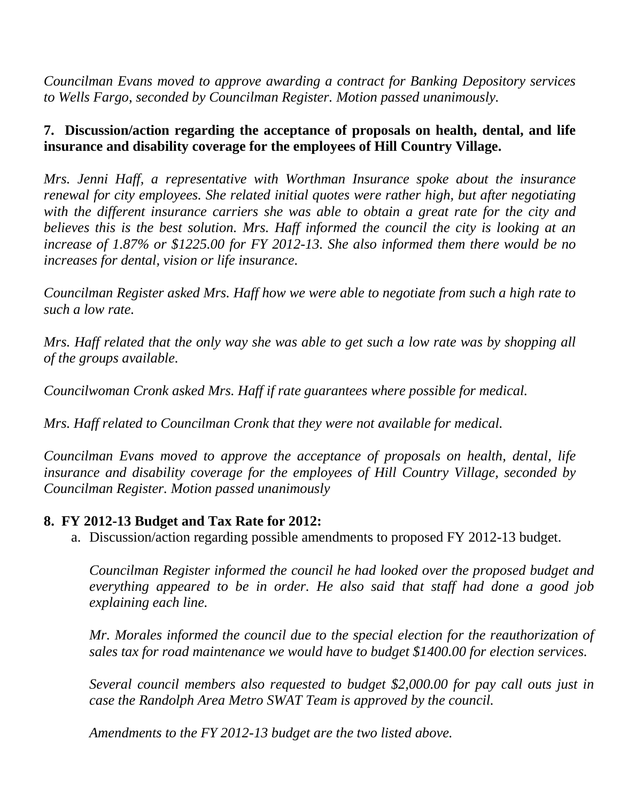*Councilman Evans moved to approve awarding a contract for Banking Depository services to Wells Fargo, seconded by Councilman Register. Motion passed unanimously.*

# **7. Discussion/action regarding the acceptance of proposals on health, dental, and life insurance and disability coverage for the employees of Hill Country Village.**

*Mrs. Jenni Haff, a representative with Worthman Insurance spoke about the insurance renewal for city employees. She related initial quotes were rather high, but after negotiating with the different insurance carriers she was able to obtain a great rate for the city and believes this is the best solution. Mrs. Haff informed the council the city is looking at an increase of 1.87% or \$1225.00 for FY 2012-13. She also informed them there would be no increases for dental, vision or life insurance.*

*Councilman Register asked Mrs. Haff how we were able to negotiate from such a high rate to such a low rate.*

*Mrs. Haff related that the only way she was able to get such a low rate was by shopping all of the groups available.*

*Councilwoman Cronk asked Mrs. Haff if rate guarantees where possible for medical.* 

*Mrs. Haff related to Councilman Cronk that they were not available for medical.*

*Councilman Evans moved to approve the acceptance of proposals on health, dental, life insurance and disability coverage for the employees of Hill Country Village, seconded by Councilman Register. Motion passed unanimously*

### **8. FY 2012-13 Budget and Tax Rate for 2012:**

a. Discussion/action regarding possible amendments to proposed FY 2012-13 budget.

*Councilman Register informed the council he had looked over the proposed budget and everything appeared to be in order. He also said that staff had done a good job explaining each line.* 

*Mr. Morales informed the council due to the special election for the reauthorization of sales tax for road maintenance we would have to budget \$1400.00 for election services.* 

*Several council members also requested to budget \$2,000.00 for pay call outs just in case the Randolph Area Metro SWAT Team is approved by the council.*

*Amendments to the FY 2012-13 budget are the two listed above.*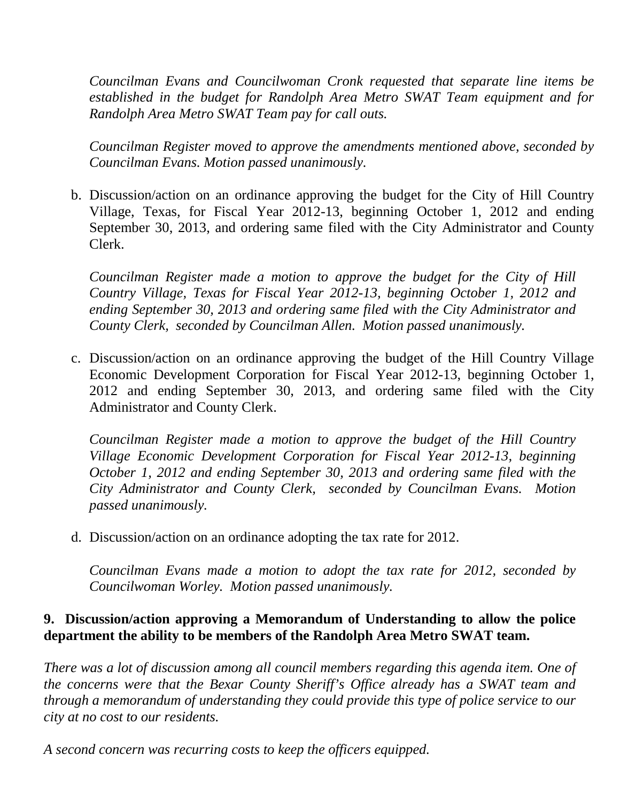*Councilman Evans and Councilwoman Cronk requested that separate line items be established in the budget for Randolph Area Metro SWAT Team equipment and for Randolph Area Metro SWAT Team pay for call outs.*

*Councilman Register moved to approve the amendments mentioned above, seconded by Councilman Evans. Motion passed unanimously.*

b. Discussion/action on an ordinance approving the budget for the City of Hill Country Village, Texas, for Fiscal Year 2012-13, beginning October 1, 2012 and ending September 30, 2013, and ordering same filed with the City Administrator and County Clerk.

*Councilman Register made a motion to approve the budget for the City of Hill Country Village, Texas for Fiscal Year 2012-13, beginning October 1, 2012 and ending September 30, 2013 and ordering same filed with the City Administrator and County Clerk, seconded by Councilman Allen. Motion passed unanimously.*

c. Discussion/action on an ordinance approving the budget of the Hill Country Village Economic Development Corporation for Fiscal Year 2012-13, beginning October 1, 2012 and ending September 30, 2013, and ordering same filed with the City Administrator and County Clerk.

*Councilman Register made a motion to approve the budget of the Hill Country Village Economic Development Corporation for Fiscal Year 2012-13, beginning October 1, 2012 and ending September 30, 2013 and ordering same filed with the City Administrator and County Clerk, seconded by Councilman Evans. Motion passed unanimously.*

d. Discussion/action on an ordinance adopting the tax rate for 2012.

*Councilman Evans made a motion to adopt the tax rate for 2012, seconded by Councilwoman Worley. Motion passed unanimously.*

## **9. Discussion/action approving a Memorandum of Understanding to allow the police department the ability to be members of the Randolph Area Metro SWAT team.**

*There was a lot of discussion among all council members regarding this agenda item. One of the concerns were that the Bexar County Sheriff's Office already has a SWAT team and through a memorandum of understanding they could provide this type of police service to our city at no cost to our residents.*

*A second concern was recurring costs to keep the officers equipped.*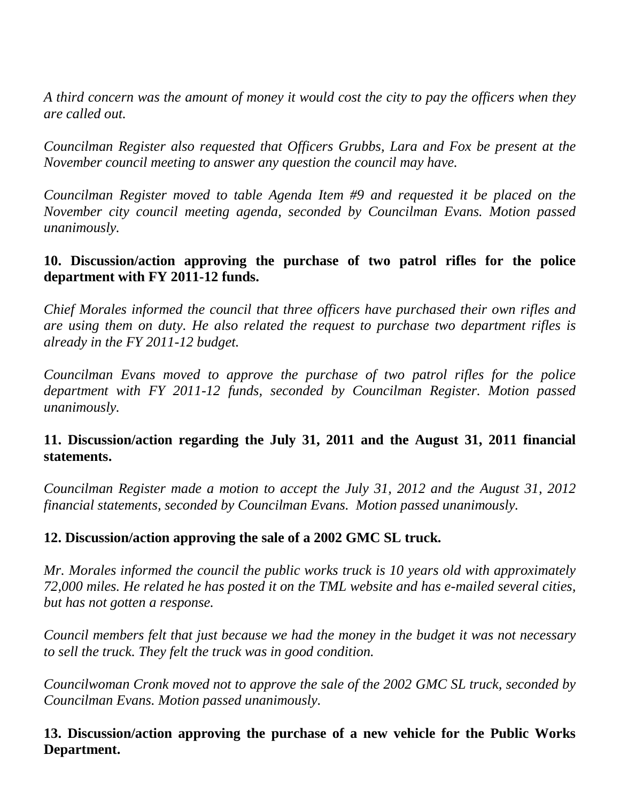*A third concern was the amount of money it would cost the city to pay the officers when they are called out.* 

*Councilman Register also requested that Officers Grubbs, Lara and Fox be present at the November council meeting to answer any question the council may have.* 

*Councilman Register moved to table Agenda Item #9 and requested it be placed on the November city council meeting agenda, seconded by Councilman Evans. Motion passed unanimously.* 

# **10. Discussion/action approving the purchase of two patrol rifles for the police department with FY 2011-12 funds.**

*Chief Morales informed the council that three officers have purchased their own rifles and are using them on duty. He also related the request to purchase two department rifles is already in the FY 2011-12 budget.*

*Councilman Evans moved to approve the purchase of two patrol rifles for the police department with FY 2011-12 funds, seconded by Councilman Register. Motion passed unanimously.*

## **11. Discussion/action regarding the July 31, 2011 and the August 31, 2011 financial statements.**

*Councilman Register made a motion to accept the July 31, 2012 and the August 31, 2012 financial statements, seconded by Councilman Evans. Motion passed unanimously.*

### **12. Discussion/action approving the sale of a 2002 GMC SL truck.**

*Mr. Morales informed the council the public works truck is 10 years old with approximately 72,000 miles. He related he has posted it on the TML website and has e-mailed several cities, but has not gotten a response.*

*Council members felt that just because we had the money in the budget it was not necessary to sell the truck. They felt the truck was in good condition.* 

*Councilwoman Cronk moved not to approve the sale of the 2002 GMC SL truck, seconded by Councilman Evans. Motion passed unanimously.* 

### **13. Discussion/action approving the purchase of a new vehicle for the Public Works Department.**